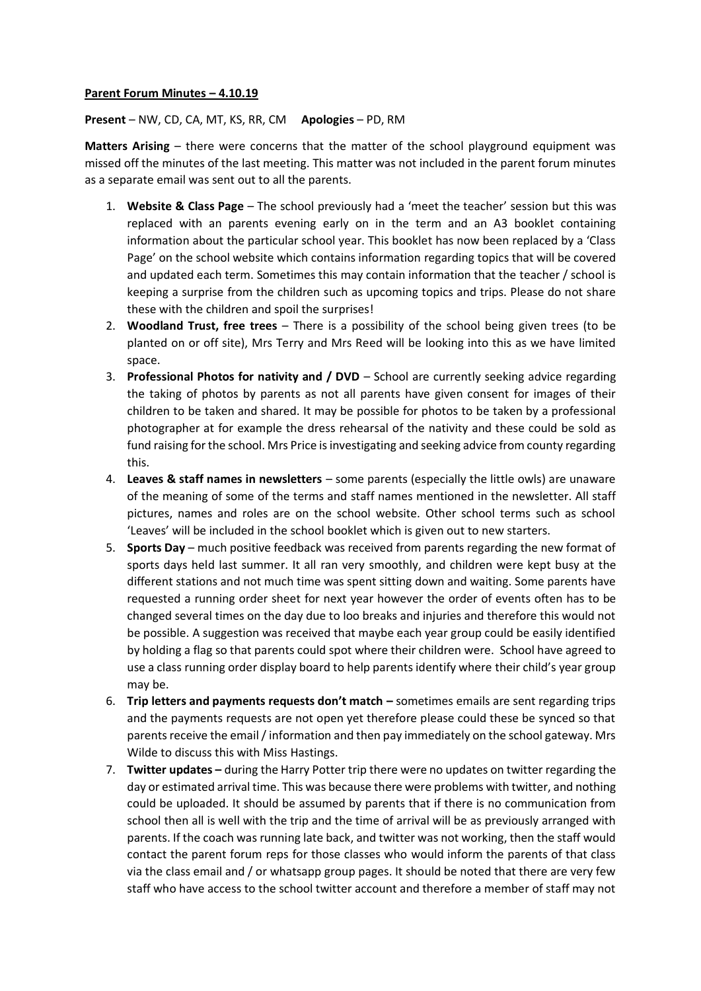## **Parent Forum Minutes – 4.10.19**

**Present** – NW, CD, CA, MT, KS, RR, CM **Apologies** – PD, RM

**Matters Arising** – there were concerns that the matter of the school playground equipment was missed off the minutes of the last meeting. This matter was not included in the parent forum minutes as a separate email was sent out to all the parents.

- 1. **Website & Class Page**  The school previously had a 'meet the teacher' session but this was replaced with an parents evening early on in the term and an A3 booklet containing information about the particular school year. This booklet has now been replaced by a 'Class Page' on the school website which contains information regarding topics that will be covered and updated each term. Sometimes this may contain information that the teacher / school is keeping a surprise from the children such as upcoming topics and trips. Please do not share these with the children and spoil the surprises!
- 2. **Woodland Trust, free trees** There is a possibility of the school being given trees (to be planted on or off site), Mrs Terry and Mrs Reed will be looking into this as we have limited space.
- 3. **Professional Photos for nativity and / DVD** School are currently seeking advice regarding the taking of photos by parents as not all parents have given consent for images of their children to be taken and shared. It may be possible for photos to be taken by a professional photographer at for example the dress rehearsal of the nativity and these could be sold as fund raising for the school. Mrs Price is investigating and seeking advice from county regarding this.
- 4. **Leaves & staff names in newsletters**  some parents (especially the little owls) are unaware of the meaning of some of the terms and staff names mentioned in the newsletter. All staff pictures, names and roles are on the school website. Other school terms such as school 'Leaves' will be included in the school booklet which is given out to new starters.
- 5. **Sports Day** much positive feedback was received from parents regarding the new format of sports days held last summer. It all ran very smoothly, and children were kept busy at the different stations and not much time was spent sitting down and waiting. Some parents have requested a running order sheet for next year however the order of events often has to be changed several times on the day due to loo breaks and injuries and therefore this would not be possible. A suggestion was received that maybe each year group could be easily identified by holding a flag so that parents could spot where their children were. School have agreed to use a class running order display board to help parents identify where their child's year group may be.
- 6. **Trip letters and payments requests don't match –** sometimes emails are sent regarding trips and the payments requests are not open yet therefore please could these be synced so that parents receive the email / information and then pay immediately on the school gateway. Mrs Wilde to discuss this with Miss Hastings.
- 7. **Twitter updates –** during the Harry Potter trip there were no updates on twitter regarding the day or estimated arrival time. This was because there were problems with twitter, and nothing could be uploaded. It should be assumed by parents that if there is no communication from school then all is well with the trip and the time of arrival will be as previously arranged with parents. If the coach was running late back, and twitter was not working, then the staff would contact the parent forum reps for those classes who would inform the parents of that class via the class email and / or whatsapp group pages. It should be noted that there are very few staff who have access to the school twitter account and therefore a member of staff may not